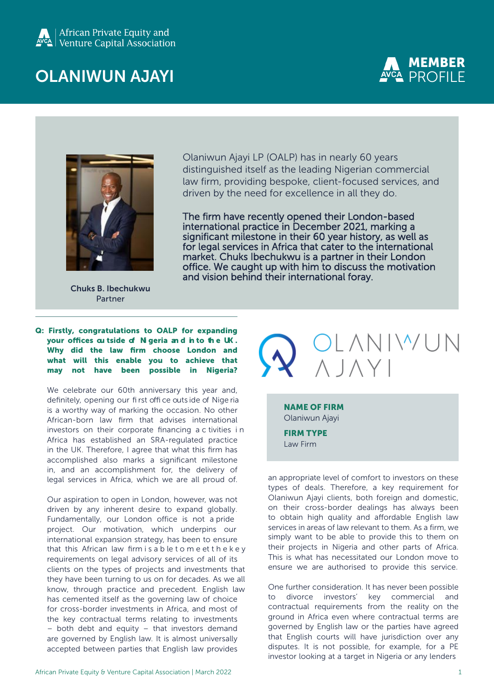

# OLANIWUN AJAYI





Chuks B. Ibechukwu Partner

Olaniwun Ajayi LP (OALP) has in nearly 60 years distinguished itself as the leading Nigerian commercial law firm, providing bespoke, client-focused services, and driven by the need for excellence in all they do.

The firm have recently opened their London-based international practice in December 2021, marking a significant milestone in their 60 year history, as well as for legal services in Africa that cater to the international market. Chuks Ibechukwu is a partner in their London office. We caught up with him to discuss the motivation and vision behind their international foray.

#### Q: Firstly, congratulations to OALP for expanding your offices au tside of Nigeria and in to the UK. Why did the law firm choose London and what will this enable you to achieve that may not have been possible in Nigeria?

We celebrate our 60th anniversary this year and, definitely, opening our fi rst offi ce outs ide of Nige ria is a worthy way of marking the occasion. No other African-born law firm that advises international investors on their corporate financing a c tivities i n Africa has established an SRA-regulated practice in the UK. Therefore, I agree that what this firm has accomplished also marks a significant milestone in, and an accomplishment for, the delivery of legal services in Africa, which we are all proud of.

Our aspiration to open in London, however, was not driven by any inherent desire to expand globally. Fundamentally, our London office is not a pride project. Our motivation, which underpins our international expansion strategy, has been to ensure that this African law firm i s a b le t o m e et t h e k e y requirements on legal advisory services of all of its clients on the types of projects and investments that they have been turning to us on for decades. As we all know, through practice and precedent. English law has cemented itself as the governing law of choice for cross-border investments in Africa, and most of the key contractual terms relating to investments – both debt and equity – that investors demand are governed by English law. It is almost universally accepted between parties that English law provides



NAME OF FIRM Olaniwun Ajayi FIRM TYPE

Law Firm

an appropriate level of comfort to investors on these types of deals. Therefore, a key requirement for Olaniwun Ajayi clients, both foreign and domestic, on their cross-border dealings has always been to obtain high quality and affordable English law services in areas of law relevant to them. As a firm, we simply want to be able to provide this to them on their projects in Nigeria and other parts of Africa. This is what has necessitated our London move to ensure we are authorised to provide this service.

One further consideration. It has never been possible to divorce investors' key commercial and contractual requirements from the reality on the ground in Africa even where contractual terms are governed by English law or the parties have agreed that English courts will have jurisdiction over any disputes. It is not possible, for example, for a PE investor looking at a target in Nigeria or any lenders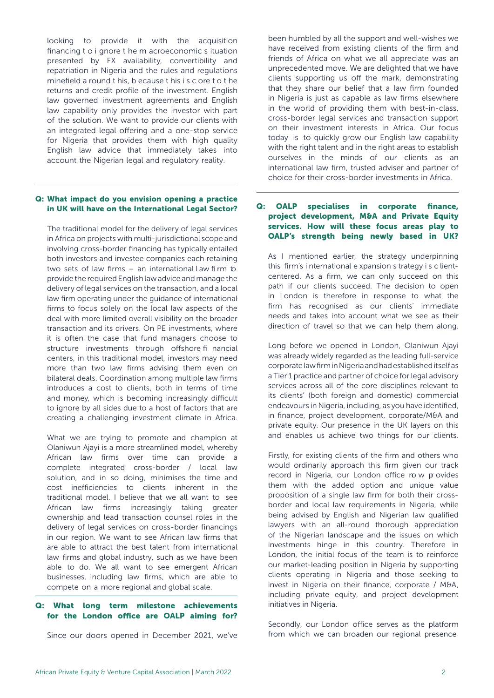looking to provide it with the acquisition financing t o i gnore t he m acroeconomic s ituation presented by FX availability, convertibility and repatriation in Nigeria and the rules and regulations minefield a round t his, b ecause t his i s c ore t o t he returns and credit profile of the investment. English law governed investment agreements and English law capability only provides the investor with part of the solution. We want to provide our clients with an integrated legal offering and a one-stop service for Nigeria that provides them with high quality English law advice that immediately takes into account the Nigerian legal and regulatory reality.

#### Q: What impact do you envision opening a practice in UK will have on the International Legal Sector?

The traditional model for the delivery of legal services in Africa on projects with multi-jurisdictional scope and involving cross-border financing has typically entailed both investors and investee companies each retaining two sets of law firms - an international law firm to provide the required English law advice and manage the delivery of legal services on the transaction, and a local law firm operating under the guidance of international firms to focus solely on the local law aspects of the deal with more limited overall visibility on the broader transaction and its drivers. On PE investments, where it is often the case that fund managers choose to structure investments through offshore fi nancial centers, in this traditional model, investors may need more than two law firms advising them even on bilateral deals. Coordination among multiple law firms introduces a cost to clients, both in terms of time and money, which is becoming increasingly difficult to ignore by all sides due to a host of factors that are creating a challenging investment climate in Africa.

What we are trying to promote and champion at Olaniwun Ajayi is a more streamlined model, whereby African law firms over time can provide a complete integrated cross-border / local law solution, and in so doing, minimises the time and cost inefficiencies to clients inherent in the traditional model. I believe that we all want to see African law firms increasingly taking greater ownership and lead transaction counsel roles in the delivery of legal services on cross-border financings in our region. We want to see African law firms that are able to attract the best talent from international law firms and global industry, such as we have been able to do. We all want to see emergent African businesses, including law firms, which are able to compete on a more regional and global scale.

#### Q: What long term milestone achievements for the London office are OALP aiming for?

Since our doors opened in December 2021, we've

been humbled by all the support and well-wishes we have received from existing clients of the firm and friends of Africa on what we all appreciate was an unprecedented move. We are delighted that we have clients supporting us off the mark, demonstrating that they share our belief that a law firm founded in Nigeria is just as capable as law firms elsewhere in the world of providing them with best-in-class, cross-border legal services and transaction support on their investment interests in Africa. Our focus today is to quickly grow our English law capability with the right talent and in the right areas to establish ourselves in the minds of our clients as an international law firm, trusted adviser and partner of choice for their cross-border investments in Africa.

#### Q: OALP specialises in corporate finance, project development, M&A and Private Equity services. How will these focus areas play to OALP's strength being newly based in UK?

As I mentioned earlier, the strategy underpinning this firm's i nternational e xpansion s trategy i s c lientcentered. As a firm, we can only succeed on this path if our clients succeed. The decision to open in London is therefore in response to what the firm has recognised as our clients' immediate needs and takes into account what we see as their direction of travel so that we can help them along.

Long before we opened in London, Olaniwun Ajayi was already widely regarded as the leading full-service corporate law firm in Nigeria and had established itself as a Tier 1 practice and partner of choice for legal advisory services across all of the core disciplines relevant to its clients' (both foreign and domestic) commercial endeavours in Nigeria, including, as you have identified, in finance, project development, corporate/M&A and private equity. Our presence in the UK layers on this and enables us achieve two things for our clients.

Firstly, for existing clients of the firm and others who would ordinarily approach this firm given our track record in Nigeria, our London office row provides them with the added option and unique value proposition of a single law firm for both their crossborder and local law requirements in Nigeria, while being advised by English and Nigerian law qualified lawyers with an all-round thorough appreciation of the Nigerian landscape and the issues on which investments hinge in this country. Therefore in London, the initial focus of the team is to reinforce our market-leading position in Nigeria by supporting clients operating in Nigeria and those seeking to invest in Nigeria on their finance, corporate / M&A, including private equity, and project development initiatives in Nigeria.

Secondly, our London office serves as the platform from which we can broaden our regional presence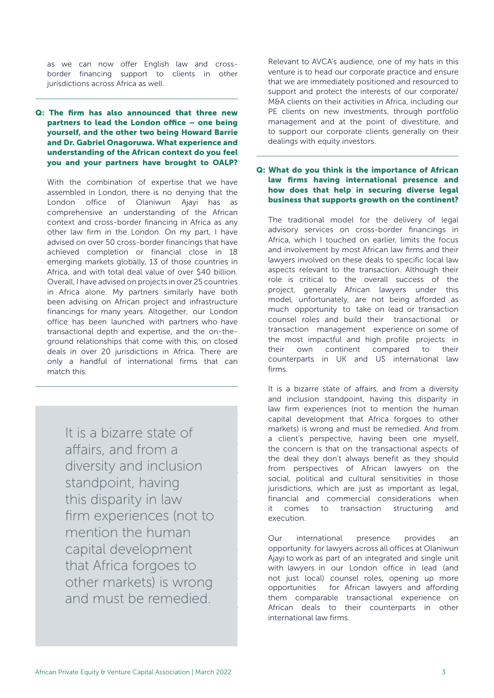as we can now offer English law and crossborder financing support to clients in other jurisdictions across Africa as well.

### Q: The firm has also announced that three new partners to lead the London office – one being yourself, and the other two being Howard Barrie and Dr. Gabriel Onagoruwa. What experience and understanding of the African context do you feel you and your partners have brought to OALP?

With the combination of expertise that we have assembled in London, there is no denying that the London office of Olaniwun Ajayi has as comprehensive an understanding of the African context and cross-border financing in Africa as any other law firm in the London. On my part, I have advised on over 50 cross-border financings that have achieved completion or financial close in 18 emerging markets globally, 13 of those countries in Africa, and with total deal value of over \$40 billion. Overall, I have advised on projects in over 25 countries in Africa alone. My partners similarly have both been advising on African project and infrastructure financings for many years. Altogether, our London office has been launched with partners who have transactional depth and expertise, and the on-theground relationships that come with this, on closed deals in over 20 jurisdictions in Africa. There are only a handful of international firms that can match this.

It is a bizarre state of affairs, and from a diversity and inclusion standpoint, having this disparity in law firm experiences (not to mention the human capital development that Africa forgoes to other markets) is wrong and must be remedied.

Relevant to AVCA's audience, one of my hats in this venture is to head our corporate practice and ensure that we are immediately positioned and resourced to support and protect the interests of our corporate/ M&A clients on their activities in Africa, including our PE clients on new investments, through portfolio management and at the point of divestiture, and to support our corporate clients generally on their dealings with equity investors.

#### Q: What do you think is the importance of African law firms having international presence and how does that help in securing diverse legal business that supports growth on the continent?

The traditional model for the delivery of legal advisory services on cross-border financings in Africa, which I touched on earlier, limits the focus and involvement by most African law firms and their lawyers involved on these deals to specific local law aspects relevant to the transaction. Although their role is critical to the overall success of the project, generally African lawyers under this model, unfortunately, are not being afforded as much opportunity to take on lead or transaction counsel roles and build their transactional or transaction management experience on some of the most impactful and high profile projects in their own continent compared to their counterparts in UK and US international law firms.

It is a bizarre state of affairs, and from a diversity and inclusion standpoint, having this disparity in law firm experiences (not to mention the human capital development that Africa forgoes to other markets) is wrong and must be remedied. And from a client's perspective, having been one myself, the concern is that on the transactional aspects of the deal they don't always benefit as they should from perspectives of African lawyers on the social, political and cultural sensitivities in those jurisdictions, which are just as important as legal. financial and commercial considerations when it comes to transaction structuring and execution.

Our international presence provides an opportunity for lawyers across all offices at Olaniwun Ajayi to work as part of an integrated and single unit with lawyers in our London office in lead (and not just local) counsel roles, opening up more opportunities for African lawyers and affording them comparable transactional experience on African deals to their counterparts in other international law firms.